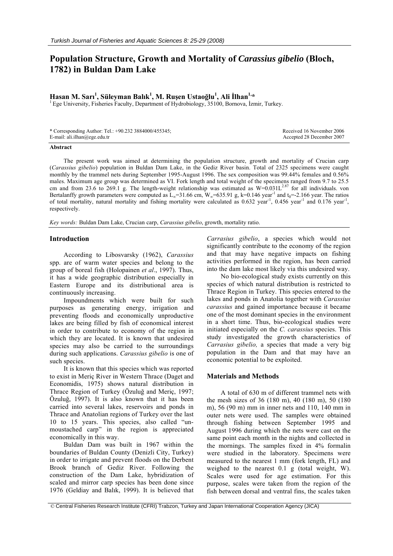# **Population Structure, Growth and Mortality of** *Carassius gibelio* **(Bloch, 1782) in Buldan Dam Lake**

# Hasan M. Sarı<sup>1</sup>, Süleyman Balık<sup>1</sup>, M. Ruşen Ustaoğlu<sup>1</sup>, Ali İlhan<sup>1,\*</sup><br><sup>1</sup> Ege University, Fisheries Faculty, Department of Hydrobiology, 35100, Bornova, İzmir, Turkey.

| * Corresponding Author: Tel.: +90.232 3884000/455345; | Received 16 November 2006 |
|-------------------------------------------------------|---------------------------|
| E-mail: ali.ilhan@ege.edu.tr                          | Accepted 28 December 2007 |

#### **Abstract**

The present work was aimed at determining the population structure, growth and mortality of Crucian carp (*Carassius gibelio*) population in Buldan Dam Lake, in the Gediz River basin. Total of 2325 specimens were caught monthly by the trammel nets during September 1995-August 1996. The sex composition was 99.44% females and 0.56% males. Maximum age group was determined as VI. Fork length and total weight of the specimens ranged from 9.7 to 25.5 cm and from 23.6 to 269.1 g. The length-weight relationship was estimated as  $W=0.031L^{2.87}$  for all individuals. von Bertalanffy growth parameters were computed as  $L_{\infty}$ =31.66 cm,  $W_{\infty}$ =635.91 g, k=0.146 year<sup>-1</sup> and t<sub>0</sub>=-2.166 year. The ratios of total mortality, natural mortality and fishing mortality were calculated as  $0.632$  year<sup>-1</sup>,  $0.456$  year<sup>-1</sup> and  $0.176$  year<sup>-1</sup>, respectively.

*Key words:* Buldan Dam Lake, Crucian carp, *Carassius gibelio*, growth, mortality ratio.

#### **Introduction**

According to Libosvarsky (1962), *Carassius*  spp. are of warm water species and belong to the group of boreal fish (Holopainen *et al*., 1997). Thus, it has a wide geographic distribution especially in Eastern Europe and its distributional area is continuously increasing.

Impoundments which were built for such purposes as generating energy, irrigation and preventing floods and economically unproductive lakes are being filled by fish of economical interest in order to contribute to economy of the region in which they are located. It is known that undesired species may also be carried to the surroundings during such applications. *Carassius gibelio* is one of such species.

It is known that this species which was reported to exist in Meriç River in Western Thrace (Daget and Economidis, 1975) shows natural distribution in Thrace Region of Turkey (Özuluğ and Meriç, 1997; Özuluğ, 1997). It is also known that it has been carried into several lakes, reservoirs and ponds in Thrace and Anatolian regions of Turkey over the last 10 to 15 years. This species, also called "unmoustached carp" in the region is appreciated economically in this way.

Buldan Dam was built in 1967 within the boundaries of Buldan County (Denizli City, Turkey) in order to irrigate and prevent floods on the Derbent Brook branch of Gediz River. Following the construction of the Dam Lake, hybridization of scaled and mirror carp species has been done since 1976 (Geldiay and Balık, 1999). It is believed that *Carrasius gibelio*, a species which would not significantly contribute to the economy of the region and that may have negative impacts on fishing activities performed in the region, has been carried into the dam lake most likely via this undesired way.

No bio-ecological study exists currently on this species of which natural distribution is restricted to Thrace Region in Turkey. This species entered to the lakes and ponds in Anatolia together with *Carassius carassius* and gained importance because it became one of the most dominant species in the environment in a short time. Thus, bio-ecological studies were initiated especially on the *C. carassius* species. This study investigated the growth characteristics of *Carrasius gibelio,* a species that made a very big population in the Dam and that may have an economic potential to be exploited.

## **Materials and Methods**

A total of 630 m of different trammel nets with the mesh sizes of 36 (180 m), 40 (180 m), 50 (180 m), 56 (90 m) mm in inner nets and 110, 140 mm in outer nets were used. The samples were obtained through fishing between September 1995 and August 1996 during which the nets were cast on the same point each month in the nights and collected in the mornings. The samples fixed in 4% formalin were studied in the laboratory. Specimens were measured to the nearest 1 mm (fork length, FL) and weighed to the nearest 0.1 g (total weight, W). Scales were used for age estimation. For this purpose, scales were taken from the region of the fish between dorsal and ventral fins, the scales taken

© Central Fisheries Research Institute (CFRI) Trabzon, Turkey and Japan International Cooperation Agency (JICA)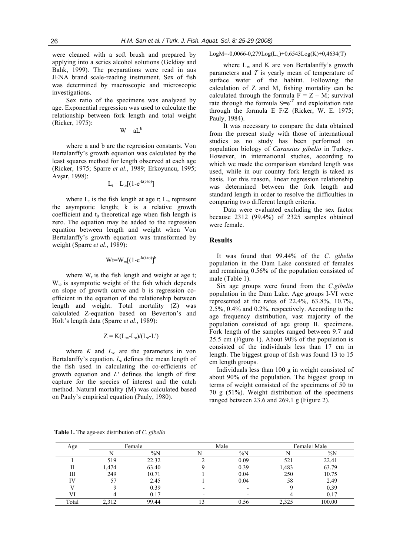were cleaned with a soft brush and prepared by applying into a series alcohol solutions (Geldiay and Balık, 1999). The preparations were read in aus JENA brand scale-reading instrument. Sex of fish was determined by macroscopic and microscopic investigations.

Sex ratio of the specimens was analyzed by age. Exponential regression was used to calculate the relationship between fork length and total weight (Ricker, 1975):

 $W = aL^b$ 

where a and b are the regression constants. Von Bertalanffy's growth equation was calculated by the least squares method for length observed at each age (Ricker, 1975; Sparre *et al*., 1989; Erkoyuncu, 1995; Avşar, 1998):

$$
L_t = L_{\infty}[(1-e^{-k(t-t_0)}]
$$

where  $L_t$  is the fish length at age t;  $L_\infty$  represent the asymptotic length; k is a relative growth coefficient and  $t_0$  theoretical age when fish length is zero. The equation may be added to the regression equation between length and weight when Von Bertalanffy's growth equation was transformed by weight (Sparre *et al*., 1989):

$$
Wt=W_\infty[(1-e^{-k(t-to)}]^b
$$

where  $W_t$  is the fish length and weight at age t;  $W_{\infty}$  is asymptotic weight of the fish which depends on slope of growth curve and b is regression coefficient in the equation of the relationship between length and weight. Total mortality (Z) was calculated Z-equation based on Beverton's and Holt's length data (Sparre *et al*., 1989):

$$
Z = K(L_{\infty} - L_c)/(L_c - L')
$$

where *K* and  $L_{\infty}$  are the parameters in von Bertalanffy's equation.  $L_c$  defines the mean length of the fish used in calculating the co-efficients of growth equation and *L'* defines the length of first capture for the species of interest and the catch method. Natural mortality (M) was calculated based on Pauly's empirical equation (Pauly, 1980).

#### LogM=-0,0066-0,279Log(L<sub>∞</sub>)+0,6543Log(K)+0,4634(T)

where  $L_{\infty}$  and K are von Bertalanffy's growth parameters and *T* is yearly mean of temperature of surface water of the habitat. Following the calculation of Z and M, fishing mortality can be calculated through the formula  $F = Z - M$ ; survival rate through the formula  $S=e^{-Z}$  and exploitation rate through the formula E=F/Z (Ricker, W. E. 1975; Pauly, 1984).

It was necessary to compare the data obtained from the present study with those of international studies as no study has been performed on population biology of *Carassius gibelio* in Turkey. However, in international studies, according to which we made the comparison standard length was used, while in our country fork length is taked as basis. For this reason, linear regression relationship was determined between the fork length and standard length in order to resolve the difficulties in comparing two different length criteria.

Data were evaluated excluding the sex factor because 2312 (99.4%) of 2325 samples obtained were female.

#### **Results**

It was found that 99.44% of the *C. gibelio*  population in the Dam Lake consisted of females and remaining 0.56% of the population consisted of male (Table 1).

Six age groups were found from the *C.gibelio* population in the Dam Lake. Age groups I-VI were represented at the rates of 22.4%, 63.8%, 10.7%, 2.5%, 0.4% and 0.2%, respectively. According to the age frequency distribution, vast majority of the population consisted of age group II. specimens. Fork length of the samples ranged between 9.7 and 25.5 cm (Figure 1). About 90% of the population is consisted of the individuals less than 17 cm in length. The biggest group of fish was found 13 to 15 cm length groups.

Individuals less than 100 g in weight consisted of about 90% of the population. The biggest group in terms of weight consisted of the specimens of 50 to 70 g (51%). Weight distribution of the specimens ranged between 23.6 and 269.1 g (Figure 2).

| Age   |      | Female | Male  |       | Female+Male |
|-------|------|--------|-------|-------|-------------|
|       |      | $\%N$  | $\%N$ |       | $\%N$       |
|       | 519  | 22.32  | 0.09  | 521   | 22.41       |
|       | .474 | 63.40  | 0.39  | .483  | 63.79       |
| Ш     | 249  | 10.71  | 0.04  | 250   | 10.75       |
| IV    | 57   | 2.45   | 0.04  | 58    | 2.49        |
|       |      | 0.39   |       |       | 0.39        |
| VI    |      | 0.17   |       |       | 0.17        |
| Total | 312  | 99.44  | 0.56  | 2.325 | 100.00      |

**Table 1.** The age-sex distribution of *C. gibelio*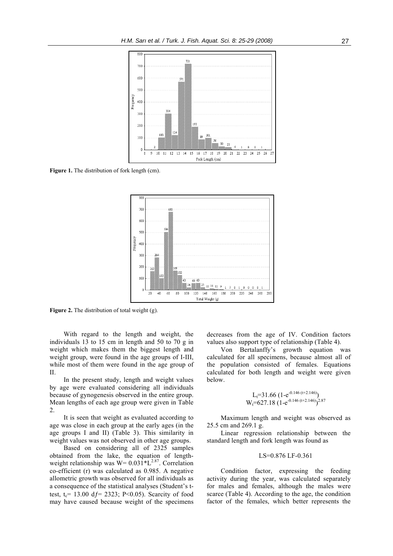

Figure 1. The distribution of fork length (cm).



Figure 2. The distribution of total weight (g).

With regard to the length and weight, the individuals 13 to 15 cm in length and 50 to 70 g in weight which makes them the biggest length and weight group, were found in the age groups of I-III, while most of them were found in the age group of II.

In the present study, length and weight values by age were evaluated considering all individuals because of gynogenesis observed in the entire group. Mean lengths of each age group were given in Table 2.

It is seen that weight as evaluated according to age was close in each group at the early ages (in the age groups I and II) (Table 3). This similarity in weight values was not observed in other age groups.

Based on considering all of 2325 samples obtained from the lake, the equation of lengthweight relationship was  $W = 0.031 \times L^{2.87}$ . Correlation co-efficient (r) was calculated as 0.985. A negative allometric growth was observed for all individuals as a consequence of the statistical analyses (Student's ttest,  $t_c$ = 13.00 d $f$ = 2323; P<0.05). Scarcity of food may have caused because weight of the specimens

decreases from the age of IV. Condition factors values also support type of relationship (Table 4).

Von Bertalanffy's growth equation was calculated for all specimens, because almost all of the population consisted of females. Equations calculated for both length and weight were given below.

$$
\begin{array}{c}\nL_t = 31.66 \left(1 - e^{-0.146 \, (t + 2.146)}\right) \\
W_t = 627.18 \left(1 - e^{-0.146 \, (t + 2.146)}\right)^{2.87}\n\end{array}
$$

Maximum length and weight was observed as 25.5 cm and 269.1 g.

Linear regression relationship between the standard length and fork length was found as

$$
LS=0.876 LF-0.361
$$

Condition factor, expressing the feeding activity during the year, was calculated separately for males and females, although the males were scarce (Table 4). According to the age, the condition factor of the females, which better represents the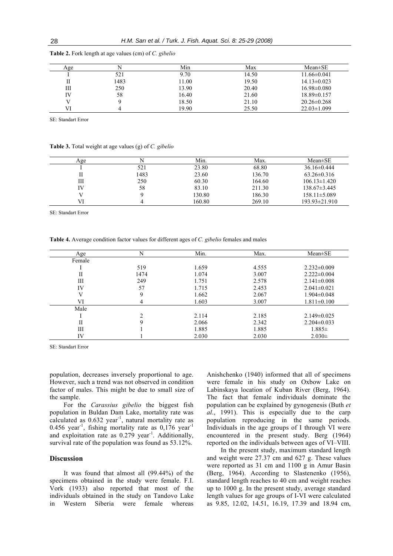| Age |      | Min   | Max   | $Mean \pm SE$     |
|-----|------|-------|-------|-------------------|
|     | 521  | 9.70  | 14.50 | $11.66 \pm 0.041$ |
| П   | 1483 | 1.00  | 19.50 | $14.13 \pm 0.023$ |
| Ш   | 250  | 13.90 | 20.40 | $16.98 \pm 0.080$ |
| IV  | 58   | 16.40 | 21.60 | $18.89 \pm 0.157$ |
|     |      | 18.50 | 21.10 | $20.26 \pm 0.268$ |
| VI  |      | 19.90 | 25.50 | $22.03 \pm 1.099$ |

**Table 2.** Fork length at age values (cm) of *C. gibelio*

SE: Standart Error

**Table 3.** Total weight at age values (g) of *C. gibelio*

| Age |      | Min.   | Max.   | $Mean \pm SE$       |
|-----|------|--------|--------|---------------------|
|     | 521  | 23.80  | 68.80  | $36.16 \pm 0.444$   |
|     | 1483 | 23.60  | 136.70 | $63.26 \pm 0.316$   |
| Ш   | 250  | 60.30  | 164.60 | $106.13 \pm 1.420$  |
| IV  | 58   | 83.10  | 211.30 | $138.67\pm3.445$    |
|     |      | 130.80 | 186.30 | $158.11 \pm 5.089$  |
| VI  |      | 160.80 | 269.10 | $193.93 \pm 21.910$ |

SE: Standart Error

**Table 4.** Average condition factor values for different ages of *C. gibelio* females and males

| Age    | N    | Min.<br>Max. |       | $Mean \pm SE$     |  |
|--------|------|--------------|-------|-------------------|--|
| Female |      |              |       |                   |  |
|        | 519  | 1.659        | 4.555 | $2.232 \pm 0.009$ |  |
| П      | 1474 | 1.074        | 3.007 | $2.222 \pm 0.004$ |  |
| Ш      | 249  | 1.751        | 2.578 | $2.141 \pm 0.008$ |  |
| IV     | 57   | 1.715        | 2.453 | $2.041 \pm 0.021$ |  |
| V      | q    | 1.662        | 2.067 | $1.904 \pm 0.048$ |  |
| VI     |      | 1.603        | 3.007 | $1.811 \pm 0.100$ |  |
| Male   |      |              |       |                   |  |
|        |      | 2.114        | 2.185 | $2.149 \pm 0.025$ |  |
| П      | Q    | 2.066        | 2.342 | $2.204 \pm 0.033$ |  |
| Ш      |      | 1.885        | 1.885 | $1.885\pm$        |  |
| IV     |      | 2.030        | 2.030 | $2.030 \pm$       |  |

SE: Standart Error

population, decreases inversely proportional to age. However, such a trend was not observed in condition factor of males. This might be due to small size of the sample.

For the *Carassius gibelio* the biggest fish population in Buldan Dam Lake, mortality rate was calculated as 0.632 year<sup>-1</sup>, natural mortality rate as 0.456 year<sup>-1</sup>, fishing mortality rate as  $0,176$  year<sup>-1</sup> and exploitation rate as  $0.279$  year<sup>-1</sup>. Additionally, survival rate of the population was found as 53.12%.

## **Discussion**

It was found that almost all (99.44%) of the specimens obtained in the study were female. F.I. Vork (1933) also reported that most of the individuals obtained in the study on Tandovo Lake in Western Siberia were female whereas

Anishchenko (1940) informed that all of specimens were female in his study on Oxbow Lake on Labinskaya location of Kuban River (Berg, 1964). The fact that female individuals dominate the population can be explained by gynogenesis (Buth *et al*., 1991). This is especially due to the carp population reproducing in the same periods. Individuals in the age groups of I through VI were encountered in the present study. Berg (1964) reported on the individuals between ages of VI–VIII.

In the present study, maximum standard length and weight were 27.37 cm and 627 g. These values were reported as 31 cm and 1100 g in Amur Basin (Berg, 1964). According to Slastenenko (1956), standard length reaches to 40 cm and weight reaches up to 1000 g. In the present study, average standard length values for age groups of I-VI were calculated as 9.85, 12.02, 14.51, 16.19, 17.39 and 18.94 cm,